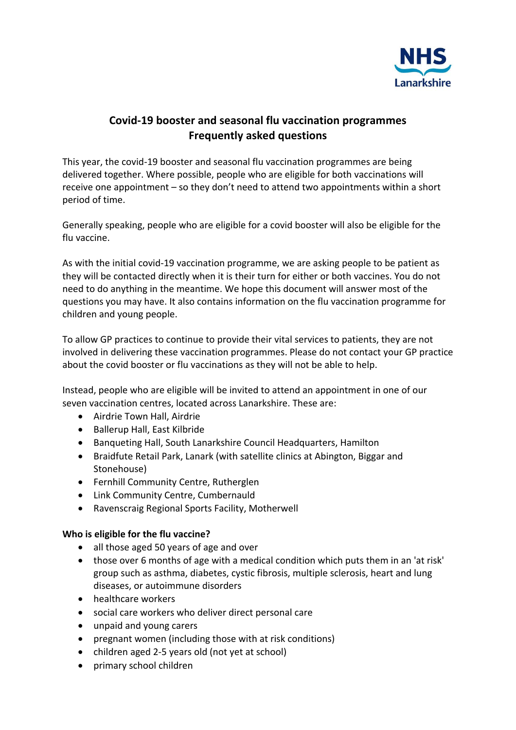

# **Covid-19 booster and seasonal flu vaccination programmes Frequently asked questions**

This year, the covid-19 booster and seasonal flu vaccination programmes are being delivered together. Where possible, people who are eligible for both vaccinations will receive one appointment – so they don't need to attend two appointments within a short period of time.

Generally speaking, people who are eligible for a covid booster will also be eligible for the flu vaccine.

As with the initial covid-19 vaccination programme, we are asking people to be patient as they will be contacted directly when it is their turn for either or both vaccines. You do not need to do anything in the meantime. We hope this document will answer most of the questions you may have. It also contains information on the flu vaccination programme for children and young people.

To allow GP practices to continue to provide their vital services to patients, they are not involved in delivering these vaccination programmes. Please do not contact your GP practice about the covid booster or flu vaccinations as they will not be able to help.

Instead, people who are eligible will be invited to attend an appointment in one of our seven vaccination centres, located across Lanarkshire. These are:

- Airdrie Town Hall, Airdrie
- Ballerup Hall, East Kilbride
- Banqueting Hall, South Lanarkshire Council Headquarters, Hamilton
- Braidfute Retail Park, Lanark (with satellite clinics at Abington, Biggar and Stonehouse)
- Fernhill Community Centre, Rutherglen
- Link Community Centre, Cumbernauld
- Ravenscraig Regional Sports Facility, Motherwell

## **Who is eligible for the flu vaccine?**

- all those aged 50 years of age and over
- those over 6 months of age with a medical condition which puts them in an 'at risk' group such as asthma, diabetes, cystic fibrosis, multiple sclerosis, heart and lung diseases, or autoimmune disorders
- healthcare workers
- social care workers who deliver direct personal care
- unpaid and young carers
- pregnant women (including those with at risk conditions)
- children aged 2-5 years old (not yet at school)
- primary school children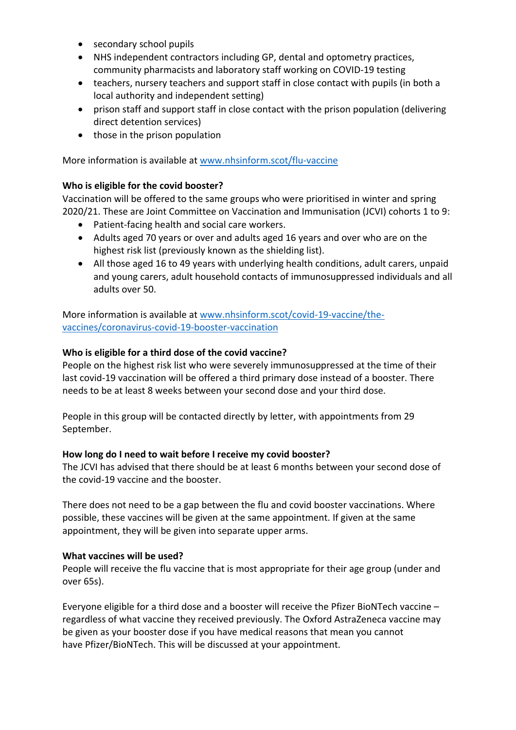- secondary school pupils
- NHS independent contractors including GP, dental and optometry practices, community pharmacists and laboratory staff working on COVID-19 testing
- teachers, nursery teachers and support staff in close contact with pupils (in both a local authority and independent setting)
- prison staff and support staff in close contact with the prison population (delivering direct detention services)
- $\bullet$  those in the prison population

More information is available a[t www.nhsinform.scot/flu-vaccine](http://www.nhsinform.scot/flu-vaccine)

## **Who is eligible for the covid booster?**

Vaccination will be offered to the same groups who were prioritised in winter and spring 2020/21. These are Joint Committee on Vaccination and Immunisation (JCVI) cohorts 1 to 9:

- Patient-facing health and social care workers.
- Adults aged 70 years or over and adults aged 16 years and over who are on the highest risk list (previously known as the shielding list).
- All those aged 16 to 49 years with underlying health conditions, adult carers, unpaid and young carers, adult household contacts of immunosuppressed individuals and all adults over 50.

More information is available a[t www.nhsinform.scot/covid-19-vaccine/the](http://www.nhsinform.scot/covid-19-vaccine/the-vaccines/coronavirus-covid-19-booster-vaccination)[vaccines/coronavirus-covid-19-booster-vaccination](http://www.nhsinform.scot/covid-19-vaccine/the-vaccines/coronavirus-covid-19-booster-vaccination)

## **Who is eligible for a third dose of the covid vaccine?**

People on the highest risk list who were severely immunosuppressed at the time of their last covid-19 vaccination will be offered a third primary dose instead of a booster. There needs to be at least 8 weeks between your second dose and your third dose.

People in this group will be contacted directly by letter, with appointments from 29 September.

#### **How long do I need to wait before I receive my covid booster?**

The JCVI has advised that there should be at least 6 months between your second dose of the covid-19 vaccine and the booster.

There does not need to be a gap between the flu and covid booster vaccinations. Where possible, these vaccines will be given at the same appointment. If given at the same appointment, they will be given into separate upper arms.

#### **What vaccines will be used?**

People will receive the flu vaccine that is most appropriate for their age group (under and over 65s).

Everyone eligible for a third dose and a booster will receive the Pfizer BioNTech vaccine – regardless of what vaccine they received previously. The Oxford AstraZeneca vaccine may be given as your booster dose if you have medical reasons that mean you cannot have Pfizer/BioNTech. This will be discussed at your appointment.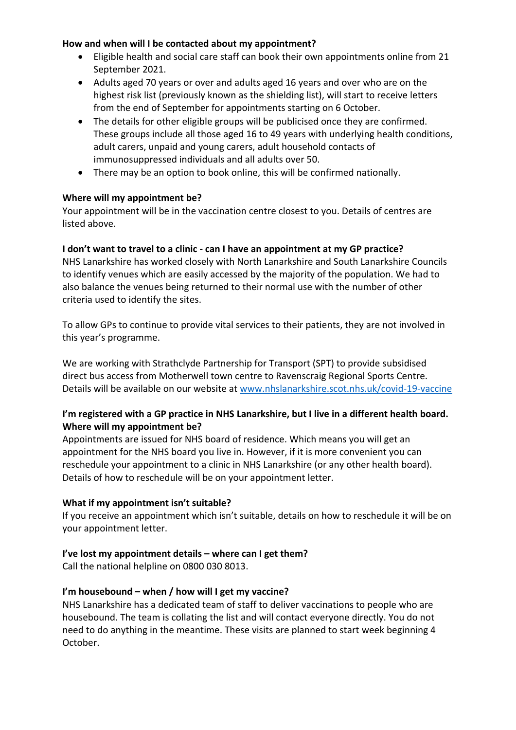### **How and when will I be contacted about my appointment?**

- Eligible health and social care staff can book their own appointments online from 21 September 2021.
- Adults aged 70 years or over and adults aged 16 years and over who are on the highest risk list (previously known as the shielding list), will start to receive letters from the end of September for appointments starting on 6 October.
- The details for other eligible groups will be publicised once they are confirmed. These groups include all those aged 16 to 49 years with underlying health conditions, adult carers, unpaid and young carers, adult household contacts of immunosuppressed individuals and all adults over 50.
- There may be an option to book online, this will be confirmed nationally.

## **Where will my appointment be?**

Your appointment will be in the vaccination centre closest to you. Details of centres are listed above.

### **I don't want to travel to a clinic - can I have an appointment at my GP practice?**

NHS Lanarkshire has worked closely with North Lanarkshire and South Lanarkshire Councils to identify venues which are easily accessed by the majority of the population. We had to also balance the venues being returned to their normal use with the number of other criteria used to identify the sites.

To allow GPs to continue to provide vital services to their patients, they are not involved in this year's programme.

We are working with Strathclyde Partnership for Transport (SPT) to provide subsidised direct bus access from Motherwell town centre to Ravenscraig Regional Sports Centre. Details will be available on our website at [www.nhslanarkshire.scot.nhs.uk/covid-19-vaccine](http://www.nhslanarkshire.scot.nhs.uk/covid-19-vaccine)

# **I'm registered with a GP practice in NHS Lanarkshire, but I live in a different health board. Where will my appointment be?**

Appointments are issued for NHS board of residence. Which means you will get an appointment for the NHS board you live in. However, if it is more convenient you can reschedule your appointment to a clinic in NHS Lanarkshire (or any other health board). Details of how to reschedule will be on your appointment letter.

#### **What if my appointment isn't suitable?**

If you receive an appointment which isn't suitable, details on how to reschedule it will be on your appointment letter.

## **I've lost my appointment details – where can I get them?**

Call the national helpline on 0800 030 8013.

## **I'm housebound – when / how will I get my vaccine?**

NHS Lanarkshire has a dedicated team of staff to deliver vaccinations to people who are housebound. The team is collating the list and will contact everyone directly. You do not need to do anything in the meantime. These visits are planned to start week beginning 4 October.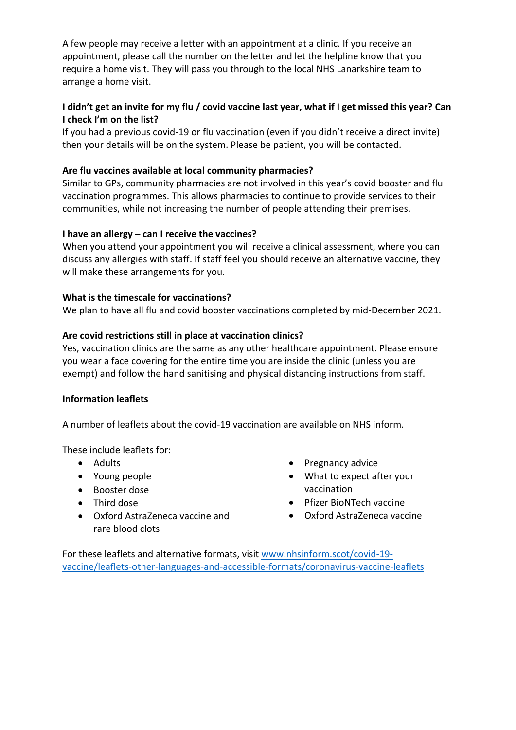A few people may receive a letter with an appointment at a clinic. If you receive an appointment, please call the number on the letter and let the helpline know that you require a home visit. They will pass you through to the local NHS Lanarkshire team to arrange a home visit.

# **I didn't get an invite for my flu / covid vaccine last year, what if I get missed this year? Can I check I'm on the list?**

If you had a previous covid-19 or flu vaccination (even if you didn't receive a direct invite) then your details will be on the system. Please be patient, you will be contacted.

## **Are flu vaccines available at local community pharmacies?**

Similar to GPs, community pharmacies are not involved in this year's covid booster and flu vaccination programmes. This allows pharmacies to continue to provide services to their communities, while not increasing the number of people attending their premises.

### **I have an allergy – can I receive the vaccines?**

When you attend your appointment you will receive a clinical assessment, where you can discuss any allergies with staff. If staff feel you should receive an alternative vaccine, they will make these arrangements for you.

#### **What is the timescale for vaccinations?**

We plan to have all flu and covid booster vaccinations completed by mid-December 2021.

#### **Are covid restrictions still in place at vaccination clinics?**

Yes, vaccination clinics are the same as any other healthcare appointment. Please ensure you wear a face covering for the entire time you are inside the clinic (unless you are exempt) and follow the hand sanitising and physical distancing instructions from staff.

#### **Information leaflets**

A number of leaflets about the covid-19 vaccination are available on NHS inform.

These include leaflets for:

- Adults
- Young people
- Booster dose
- Third dose
- Oxford AstraZeneca vaccine and rare blood clots
- Pregnancy advice
- What to expect after your vaccination
- Pfizer BioNTech vaccine
- Oxford AstraZeneca vaccine

For these leaflets and alternative formats, visit [www.nhsinform.scot/covid-19](http://www.nhsinform.scot/covid-19-vaccine/leaflets-other-languages-and-accessible-formats/coronavirus-vaccine-leaflets) [vaccine/leaflets-other-languages-and-accessible-formats/coronavirus-vaccine-leaflets](http://www.nhsinform.scot/covid-19-vaccine/leaflets-other-languages-and-accessible-formats/coronavirus-vaccine-leaflets)